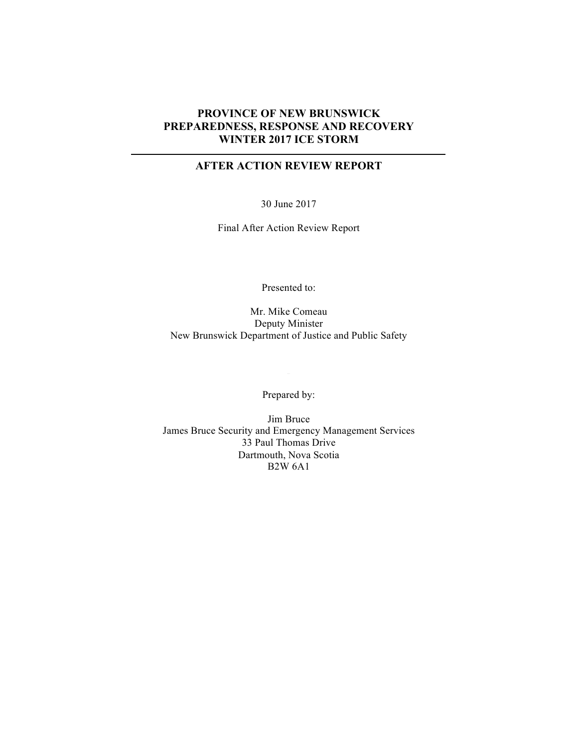## **PROVINCE OF NEW BRUNSWICK PREPAREDNESS, RESPONSE AND RECOVERY WINTER 2017 ICE STORM**

## **AFTER ACTION REVIEW REPORT**

30 June 2017

Final After Action Review Report

Presented to:

Mr. Mike Comeau Deputy Minister New Brunswick Department of Justice and Public Safety

Prepared by:

Jim Bruce James Bruce Security and Emergency Management Services 33 Paul Thomas Drive Dartmouth, Nova Scotia B2W 6A1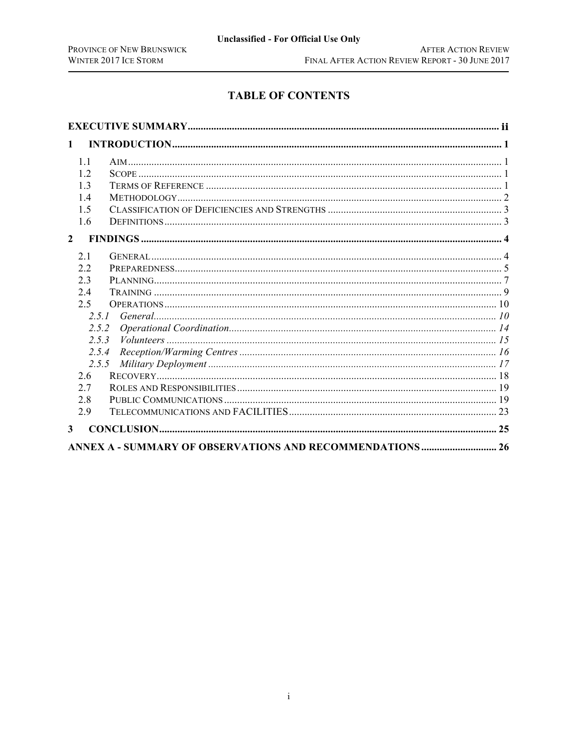# **TABLE OF CONTENTS**

| $\mathbf{1}$                                                     |  |
|------------------------------------------------------------------|--|
| 1.1                                                              |  |
| 12                                                               |  |
| 13                                                               |  |
| 14                                                               |  |
| 1.5                                                              |  |
| 1.6                                                              |  |
| $\mathbf{2}$                                                     |  |
| 21                                                               |  |
| 2.2                                                              |  |
| 2.3                                                              |  |
| 2.4                                                              |  |
| 2.5                                                              |  |
| 2.5.1                                                            |  |
| 2.5.2                                                            |  |
| 2.5.3                                                            |  |
| 2.5.4                                                            |  |
| 2.5.5                                                            |  |
| 2.6                                                              |  |
| 2.7                                                              |  |
| 2.8                                                              |  |
| 2.9                                                              |  |
| $\mathbf{3}$                                                     |  |
| <b>ANNEX A - SUMMARY OF OBSERVATIONS AND RECOMMENDATIONS  26</b> |  |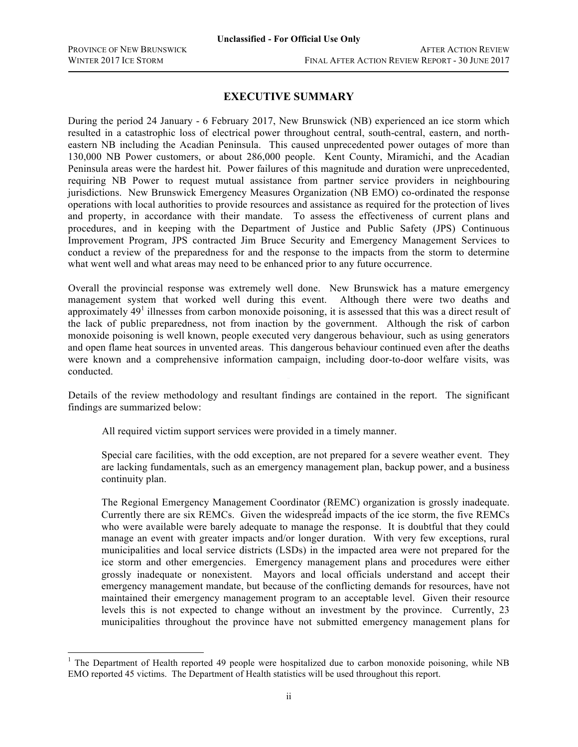## **EXECUTIVE SUMMARY**

During the period 24 January - 6 February 2017, New Brunswick (NB) experienced an ice storm which resulted in a catastrophic loss of electrical power throughout central, south-central, eastern, and northeastern NB including the Acadian Peninsula. This caused unprecedented power outages of more than 130,000 NB Power customers, or about 286,000 people. Kent County, Miramichi, and the Acadian Peninsula areas were the hardest hit. Power failures of this magnitude and duration were unprecedented, requiring NB Power to request mutual assistance from partner service providers in neighbouring jurisdictions. New Brunswick Emergency Measures Organization (NB EMO) co-ordinated the response operations with local authorities to provide resources and assistance as required for the protection of lives and property, in accordance with their mandate. To assess the effectiveness of current plans and procedures, and in keeping with the Department of Justice and Public Safety (JPS) Continuous Improvement Program, JPS contracted Jim Bruce Security and Emergency Management Services to conduct a review of the preparedness for and the response to the impacts from the storm to determine what went well and what areas may need to be enhanced prior to any future occurrence.

Overall the provincial response was extremely well done. New Brunswick has a mature emergency management system that worked well during this event. Although there were two deaths and approximately  $49<sup>1</sup>$  illnesses from carbon monoxide poisoning, it is assessed that this was a direct result of the lack of public preparedness, not from inaction by the government. Although the risk of carbon monoxide poisoning is well known, people executed very dangerous behaviour, such as using generators and open flame heat sources in unvented areas. This dangerous behaviour continued even after the deaths were known and a comprehensive information campaign, including door-to-door welfare visits, was conducted.

Details of the review methodology and resultant findings are contained in the report. The significant findings are summarized below:

All required victim support services were provided in a timely manner.

Special care facilities, with the odd exception, are not prepared for a severe weather event. They are lacking fundamentals, such as an emergency management plan, backup power, and a business continuity plan.

The Regional Emergency Management Coordinator (REMC) organization is grossly inadequate. Currently there are six REMCs. Given the widespread impacts of the ice storm, the five REMCs who were available were barely adequate to manage the response. It is doubtful that they could manage an event with greater impacts and/or longer duration. With very few exceptions, rural municipalities and local service districts (LSDs) in the impacted area were not prepared for the ice storm and other emergencies. Emergency management plans and procedures were either grossly inadequate or nonexistent. Mayors and local officials understand and accept their emergency management mandate, but because of the conflicting demands for resources, have not maintained their emergency management program to an acceptable level. Given their resource levels this is not expected to change without an investment by the province. Currently, 23 municipalities throughout the province have not submitted emergency management plans for

 $1$  The Department of Health reported 49 people were hospitalized due to carbon monoxide poisoning, while NB EMO reported 45 victims. The Department of Health statistics will be used throughout this report.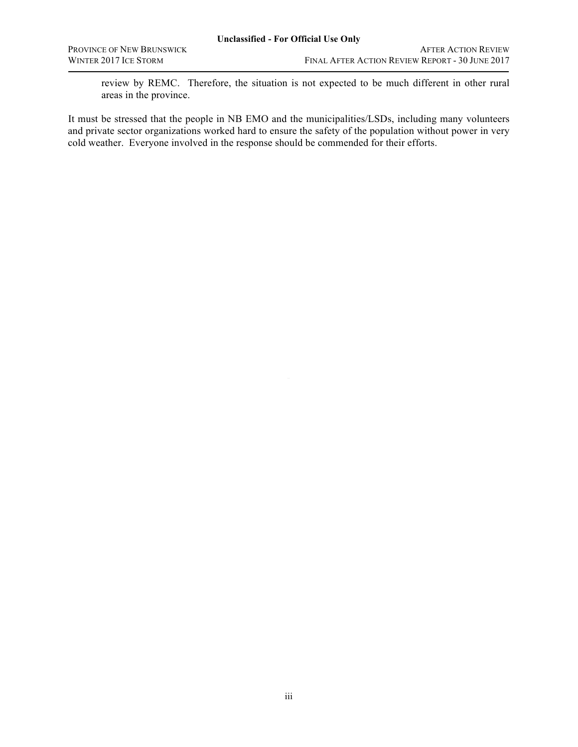review by REMC. Therefore, the situation is not expected to be much different in other rural areas in the province.

It must be stressed that the people in NB EMO and the municipalities/LSDs, including many volunteers and private sector organizations worked hard to ensure the safety of the population without power in very cold weather. Everyone involved in the response should be commended for their efforts.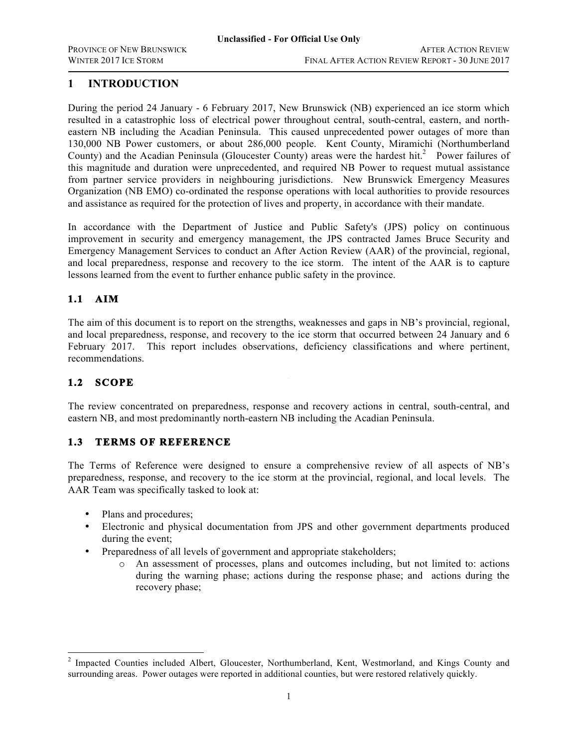## **1 INTRODUCTION**

During the period 24 January - 6 February 2017, New Brunswick (NB) experienced an ice storm which resulted in a catastrophic loss of electrical power throughout central, south-central, eastern, and northeastern NB including the Acadian Peninsula. This caused unprecedented power outages of more than 130,000 NB Power customers, or about 286,000 people. Kent County, Miramichi (Northumberland County) and the Acadian Peninsula (Gloucester County) areas were the hardest hit.<sup>2</sup> Power failures of this magnitude and duration were unprecedented, and required NB Power to request mutual assistance from partner service providers in neighbouring jurisdictions. New Brunswick Emergency Measures Organization (NB EMO) co-ordinated the response operations with local authorities to provide resources and assistance as required for the protection of lives and property, in accordance with their mandate.

In accordance with the Department of Justice and Public Safety's (JPS) policy on continuous improvement in security and emergency management, the JPS contracted James Bruce Security and Emergency Management Services to conduct an After Action Review (AAR) of the provincial, regional, and local preparedness, response and recovery to the ice storm. The intent of the AAR is to capture lessons learned from the event to further enhance public safety in the province.

## **1.1 AIM**

The aim of this document is to report on the strengths, weaknesses and gaps in NB's provincial, regional, and local preparedness, response, and recovery to the ice storm that occurred between 24 January and 6 February 2017. This report includes observations, deficiency classifications and where pertinent, recommendations.

## **1.2 SCOPE**

The review concentrated on preparedness, response and recovery actions in central, south-central, and eastern NB, and most predominantly north-eastern NB including the Acadian Peninsula.

## **1.3 TERMS OF REFERENCE**

The Terms of Reference were designed to ensure a comprehensive review of all aspects of NB's preparedness, response, and recovery to the ice storm at the provincial, regional, and local levels. The AAR Team was specifically tasked to look at:

- Plans and procedures;
- Electronic and physical documentation from JPS and other government departments produced during the event;
- Preparedness of all levels of government and appropriate stakeholders;
	- o An assessment of processes, plans and outcomes including, but not limited to: actions during the warning phase; actions during the response phase; and actions during the recovery phase;

<sup>&</sup>lt;sup>2</sup> Impacted Counties included Albert, Gloucester, Northumberland, Kent, Westmorland, and Kings County and surrounding areas. Power outages were reported in additional counties, but were restored relatively quickly.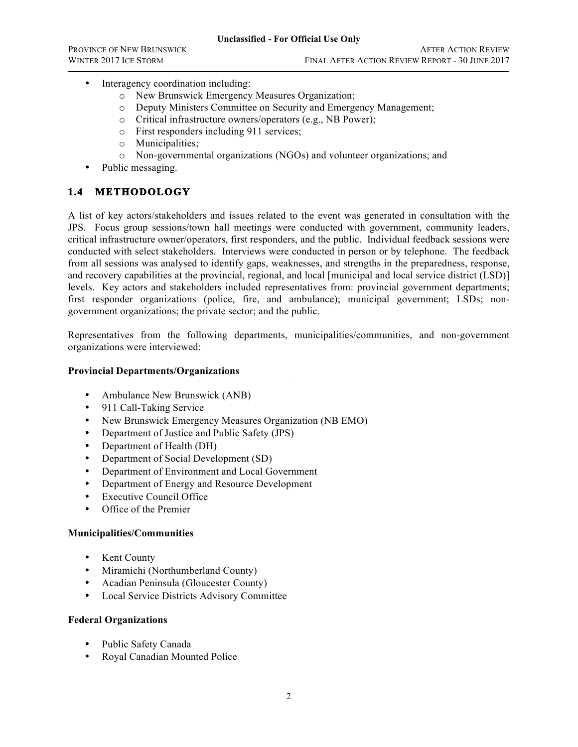- Interagency coordination including:
	- o New Brunswick Emergency Measures Organization;
	- o Deputy Ministers Committee on Security and Emergency Management;
	- o Critical infrastructure owners/operators (e.g., NB Power);
	- o First responders including 911 services;
	- o Municipalities;
	- o Non-governmental organizations (NGOs) and volunteer organizations; and
- Public messaging.

## **1.4 METHODOLOGY**

A list of key actors/stakeholders and issues related to the event was generated in consultation with the JPS. Focus group sessions/town hall meetings were conducted with government, community leaders, critical infrastructure owner/operators, first responders, and the public. Individual feedback sessions were conducted with select stakeholders. Interviews were conducted in person or by telephone. The feedback from all sessions was analysed to identify gaps, weaknesses, and strengths in the preparedness, response, and recovery capabilities at the provincial, regional, and local [municipal and local service district (LSD)] levels. Key actors and stakeholders included representatives from: provincial government departments; first responder organizations (police, fire, and ambulance); municipal government; LSDs; nongovernment organizations; the private sector; and the public.

Representatives from the following departments, municipalities/communities, and non-government organizations were interviewed:

### **Provincial Departments/Organizations**

- Ambulance New Brunswick (ANB)
- 911 Call-Taking Service
- New Brunswick Emergency Measures Organization (NB EMO)
- Department of Justice and Public Safety (JPS)
- Department of Health (DH)
- Department of Social Development (SD)
- Department of Environment and Local Government
- Department of Energy and Resource Development
- **Executive Council Office**
- Office of the Premier

#### **Municipalities/Communities**

- Kent County
- Miramichi (Northumberland County)
- Acadian Peninsula (Gloucester County)
- Local Service Districts Advisory Committee

#### **Federal Organizations**

- Public Safety Canada
- Royal Canadian Mounted Police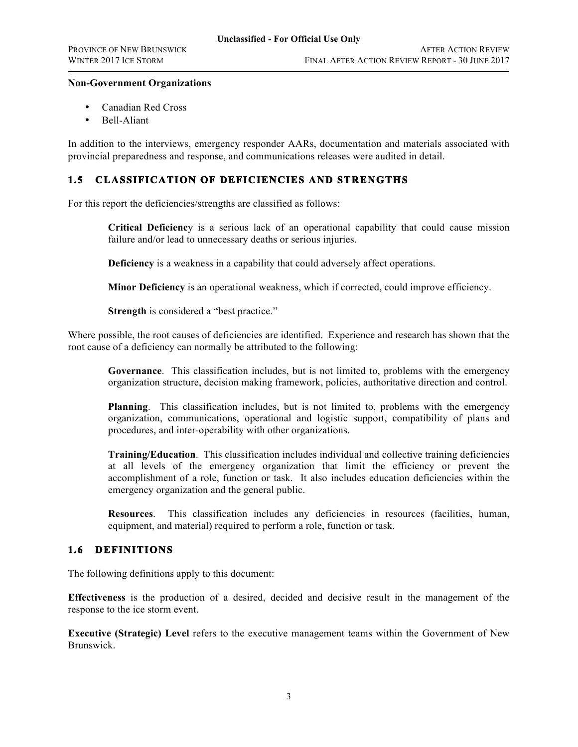### **Non-Government Organizations**

- Canadian Red Cross
- Bell-Aliant

In addition to the interviews, emergency responder AARs, documentation and materials associated with provincial preparedness and response, and communications releases were audited in detail.

## **1.5 CLASSIFICATION OF DEFICIENCIES AND STRENGTHS**

For this report the deficiencies/strengths are classified as follows:

**Critical Deficienc**y is a serious lack of an operational capability that could cause mission failure and/or lead to unnecessary deaths or serious injuries.

**Deficiency** is a weakness in a capability that could adversely affect operations.

**Minor Deficiency** is an operational weakness, which if corrected, could improve efficiency.

**Strength** is considered a "best practice."

Where possible, the root causes of deficiencies are identified. Experience and research has shown that the root cause of a deficiency can normally be attributed to the following:

organization structure, decision making framework, policies, authoritative direction and control. **Governance**. This classification includes, but is not limited to, problems with the emergency

**Planning**. This classification includes, but is not limited to, problems with the emergency organization, communications, operational and logistic support, compatibility of plans and procedures, and inter-operability with other organizations.

**Training/Education**. This classification includes individual and collective training deficiencies at all levels of the emergency organization that limit the efficiency or prevent the accomplishment of a role, function or task. It also includes education deficiencies within the emergency organization and the general public.

**Resources**. This classification includes any deficiencies in resources (facilities, human, equipment, and material) required to perform a role, function or task.

## **1.6 DEFINITIONS**

The following definitions apply to this document:

**Effectiveness** is the production of a desired, decided and decisive result in the management of the response to the ice storm event.

**Executive (Strategic) Level** refers to the executive management teams within the Government of New Brunswick.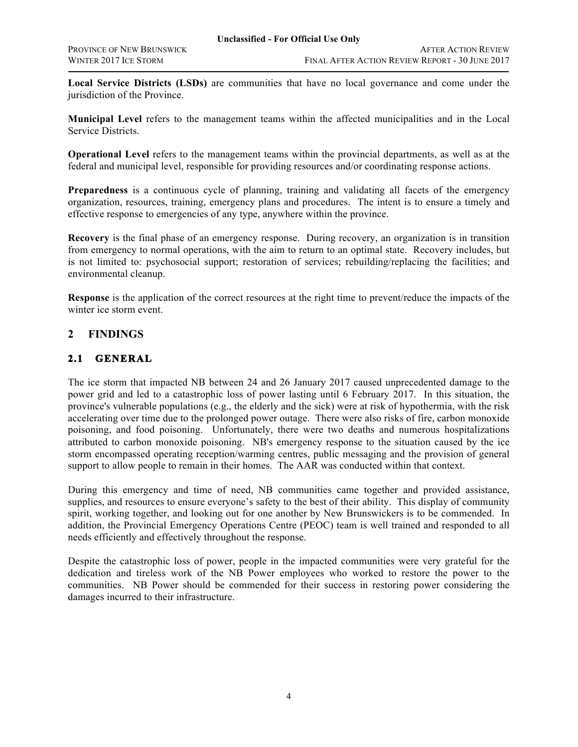**Local Service Districts (LSDs)** are communities that have no local governance and come under the jurisdiction of the Province.

**Municipal Level** refers to the management teams within the affected municipalities and in the Local Service Districts.

**Operational Level** refers to the management teams within the provincial departments, as well as at the federal and municipal level, responsible for providing resources and/or coordinating response actions.

**Preparedness** is a continuous cycle of planning, training and validating all facets of the emergency organization, resources, training, emergency plans and procedures. The intent is to ensure a timely and effective response to emergencies of any type, anywhere within the province.

**Recovery** is the final phase of an emergency response. During recovery, an organization is in transition from emergency to normal operations, with the aim to return to an optimal state. Recovery includes, but is not limited to: psychosocial support; restoration of services; rebuilding/replacing the facilities; and environmental cleanup.

**Response** is the application of the correct resources at the right time to prevent/reduce the impacts of the winter ice storm event.

## **2 FINDINGS**

## **2.1 GENERAL**

The ice storm that impacted NB between 24 and 26 January 2017 caused unprecedented damage to the power grid and led to a catastrophic loss of power lasting until 6 February 2017. In this situation, the province's vulnerable populations (e.g., the elderly and the sick) were at risk of hypothermia, with the risk accelerating over time due to the prolonged power outage. There were also risks of fire, carbon monoxide poisoning, and food poisoning. Unfortunately, there were two deaths and numerous hospitalizations attributed to carbon monoxide poisoning. NB's emergency response to the situation caused by the ice storm encompassed operating reception/warming centres, public messaging and the provision of general support to allow people to remain in their homes. The AAR was conducted within that context.

During this emergency and time of need, NB communities came together and provided assistance, supplies, and resources to ensure everyone's safety to the best of their ability. This display of community spirit, working together, and looking out for one another by New Brunswickers is to be commended. In addition, the Provincial Emergency Operations Centre (PEOC) team is well trained and responded to all needs efficiently and effectively throughout the response.

Despite the catastrophic loss of power, people in the impacted communities were very grateful for the dedication and tireless work of the NB Power employees who worked to restore the power to the communities. NB Power should be commended for their success in restoring power considering the damages incurred to their infrastructure.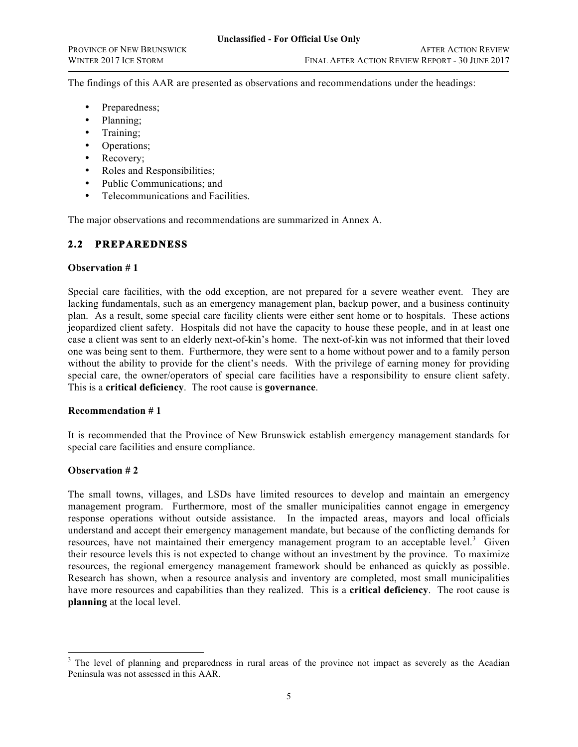The findings of this AAR are presented as observations and recommendations under the headings:

- Preparedness;
- Planning;
- Training;
- Operations;
- Recovery;
- Roles and Responsibilities;
- Public Communications; and
- Telecommunications and Facilities.

The major observations and recommendations are summarized in Annex A.

## **2.2 PREPAREDNESS**

### **Observation # 1**

special care, the owner/operators of special care facilities have a responsibility to ensure client safety. Special care facilities, with the odd exception, are not prepared for a severe weather event. They are lacking fundamentals, such as an emergency management plan, backup power, and a business continuity plan. As a result, some special care facility clients were either sent home or to hospitals. These actions jeopardized client safety. Hospitals did not have the capacity to house these people, and in at least one case a client was sent to an elderly next-of-kin's home. The next-of-kin was not informed that their loved one was being sent to them. Furthermore, they were sent to a home without power and to a family person without the ability to provide for the client's needs. With the privilege of earning money for providing This is a **critical deficiency**. The root cause is **governance**.

#### **Recommendation # 1**

It is recommended that the Province of New Brunswick establish emergency management standards for special care facilities and ensure compliance.

### **Observation # 2**

The small towns, villages, and LSDs have limited resources to develop and maintain an emergency management program. Furthermore, most of the smaller municipalities cannot engage in emergency response operations without outside assistance. In the impacted areas, mayors and local officials understand and accept their emergency management mandate, but because of the conflicting demands for resources, have not maintained their emergency management program to an acceptable level.<sup>3</sup> Given their resource levels this is not expected to change without an investment by the province. To maximize resources, the regional emergency management framework should be enhanced as quickly as possible. Research has shown, when a resource analysis and inventory are completed, most small municipalities have more resources and capabilities than they realized. This is a **critical deficiency**. The root cause is **planning** at the local level.

<sup>&</sup>lt;sup>3</sup> The level of planning and preparedness in rural areas of the province not impact as severely as the Acadian Peninsula was not assessed in this AAR.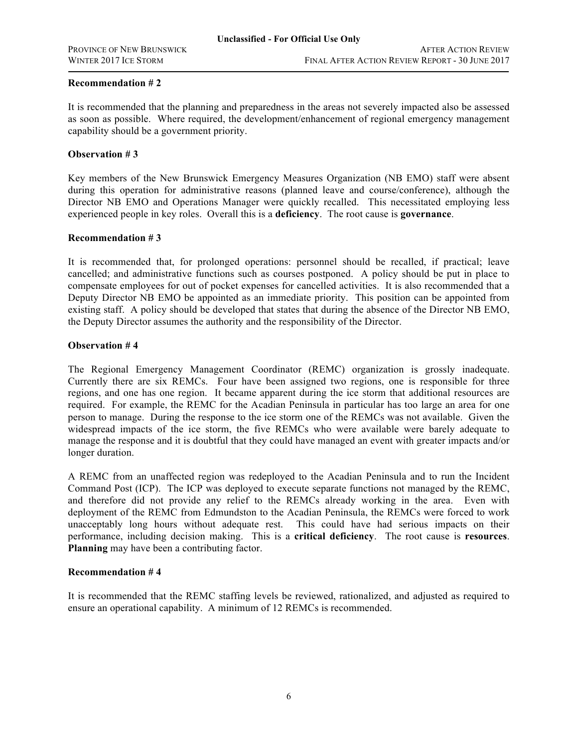It is recommended that the planning and preparedness in the areas not severely impacted also be assessed as soon as possible. Where required, the development/enhancement of regional emergency management capability should be a government priority.

### **Observation # 3**

Key members of the New Brunswick Emergency Measures Organization (NB EMO) staff were absent during this operation for administrative reasons (planned leave and course/conference), although the Director NB EMO and Operations Manager were quickly recalled. This necessitated employing less experienced people in key roles. Overall this is a **deficiency**. The root cause is **governance**.

### **Recommendation # 3**

It is recommended that, for prolonged operations: personnel should be recalled, if practical; leave cancelled; and administrative functions such as courses postponed. A policy should be put in place to compensate employees for out of pocket expenses for cancelled activities. It is also recommended that a Deputy Director NB EMO be appointed as an immediate priority. This position can be appointed from existing staff. A policy should be developed that states that during the absence of the Director NB EMO, the Deputy Director assumes the authority and the responsibility of the Director.

### **Observation # 4**

Currently there are six REMCs. Four have been assigned two regions, one is responsible for three The Regional Emergency Management Coordinator (REMC) organization is grossly inadequate. regions, and one has one region. It became apparent during the ice storm that additional resources are required. For example, the REMC for the Acadian Peninsula in particular has too large an area for one person to manage. During the response to the ice storm one of the REMCs was not available. Given the widespread impacts of the ice storm, the five REMCs who were available were barely adequate to manage the response and it is doubtful that they could have managed an event with greater impacts and/or longer duration.

A REMC from an unaffected region was redeployed to the Acadian Peninsula and to run the Incident Command Post (ICP). The ICP was deployed to execute separate functions not managed by the REMC, and therefore did not provide any relief to the REMCs already working in the area. Even with deployment of the REMC from Edmundston to the Acadian Peninsula, the REMCs were forced to work unacceptably long hours without adequate rest. This could have had serious impacts on their performance, including decision making. This is a **critical deficiency**. The root cause is **resources**. **Planning** may have been a contributing factor.

### **Recommendation # 4**

It is recommended that the REMC staffing levels be reviewed, rationalized, and adjusted as required to ensure an operational capability. A minimum of 12 REMCs is recommended.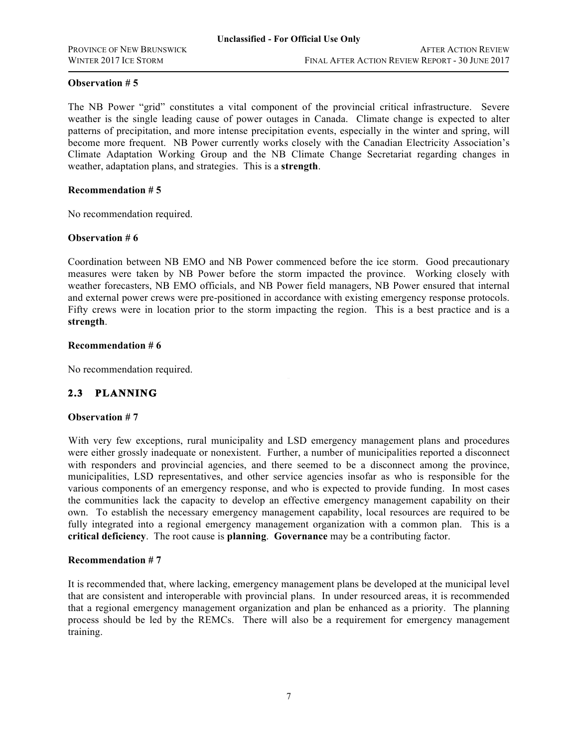The NB Power "grid" constitutes a vital component of the provincial critical infrastructure. Severe weather is the single leading cause of power outages in Canada. Climate change is expected to alter patterns of precipitation, and more intense precipitation events, especially in the winter and spring, will become more frequent. NB Power currently works closely with the Canadian Electricity Association's Climate Adaptation Working Group and the NB Climate Change Secretariat regarding changes in weather, adaptation plans, and strategies. This is a **strength**.

### **Recommendation # 5**

No recommendation required.

### **Observation # 6**

Coordination between NB EMO and NB Power commenced before the ice storm. Good precautionary measures were taken by NB Power before the storm impacted the province. Working closely with weather forecasters, NB EMO officials, and NB Power field managers, NB Power ensured that internal and external power crews were pre-positioned in accordance with existing emergency response protocols. Fifty crews were in location prior to the storm impacting the region. This is a best practice and is a **strength**.

### **Recommendation # 6**

No recommendation required.

## **2.3 PLANNING**

### **Observation # 7**

With very few exceptions, rural municipality and LSD emergency management plans and procedures were either grossly inadequate or nonexistent. Further, a number of municipalities reported a disconnect with responders and provincial agencies, and there seemed to be a disconnect among the province, municipalities, LSD representatives, and other service agencies insofar as who is responsible for the various components of an emergency response, and who is expected to provide funding. In most cases the communities lack the capacity to develop an effective emergency management capability on their own. To establish the necessary emergency management capability, local resources are required to be fully integrated into a regional emergency management organization with a common plan. This is a **critical deficiency**. The root cause is **planning**. **Governance** may be a contributing factor.

### **Recommendation # 7**

It is recommended that, where lacking, emergency management plans be developed at the municipal level that are consistent and interoperable with provincial plans. In under resourced areas, it is recommended that a regional emergency management organization and plan be enhanced as a priority. The planning process should be led by the REMCs. There will also be a requirement for emergency management training.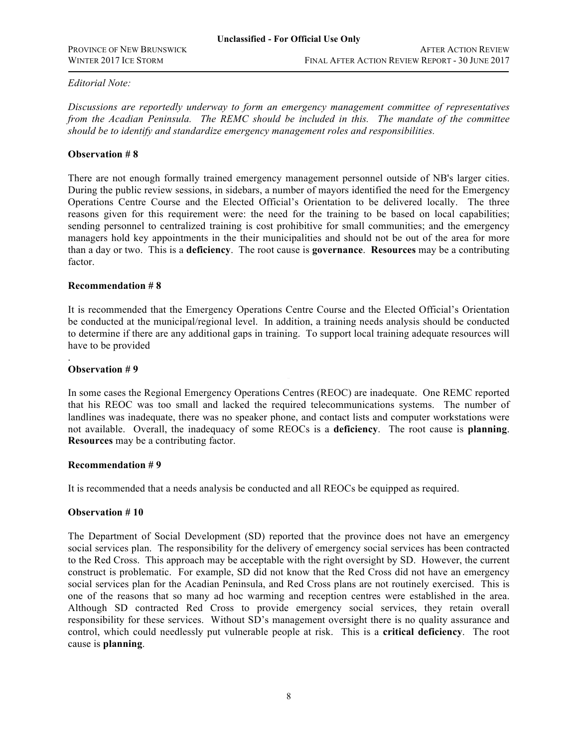### *Editorial Note:*

*Discussions are reportedly underway to form an emergency management committee of representatives from the Acadian Peninsula. The REMC should be included in this. The mandate of the committee should be to identify and standardize emergency management roles and responsibilities.*

### **Observation # 8**

There are not enough formally trained emergency management personnel outside of NB's larger cities. During the public review sessions, in sidebars, a number of mayors identified the need for the Emergency Operations Centre Course and the Elected Official's Orientation to be delivered locally. The three reasons given for this requirement were: the need for the training to be based on local capabilities; sending personnel to centralized training is cost prohibitive for small communities; and the emergency managers hold key appointments in the their municipalities and should not be out of the area for more than a day or two. This is a **deficiency**. The root cause is **governance**. **Resources** may be a contributing factor.

### **Recommendation # 8**

It is recommended that the Emergency Operations Centre Course and the Elected Official's Orientation be conducted at the municipal/regional level. In addition, a training needs analysis should be conducted to determine if there are any additional gaps in training. To support local training adequate resources will have to be provided

### **Observation # 9**

.

In some cases the Regional Emergency Operations Centres (REOC) are inadequate. One REMC reported that his REOC was too small and lacked the required telecommunications systems. The number of landlines was inadequate, there was no speaker phone, and contact lists and computer workstations were not available. Overall, the inadequacy of some REOCs is a **deficiency**. The root cause is **planning**. **Resources** may be a contributing factor.

### **Recommendation # 9**

It is recommended that a needs analysis be conducted and all REOCs be equipped as required.

#### **Observation # 10**

The Department of Social Development (SD) reported that the province does not have an emergency social services plan. The responsibility for the delivery of emergency social services has been contracted to the Red Cross. This approach may be acceptable with the right oversight by SD. However, the current construct is problematic. For example, SD did not know that the Red Cross did not have an emergency social services plan for the Acadian Peninsula, and Red Cross plans are not routinely exercised. This is one of the reasons that so many ad hoc warming and reception centres were established in the area. Although SD contracted Red Cross to provide emergency social services, they retain overall responsibility for these services. Without SD's management oversight there is no quality assurance and control, which could needlessly put vulnerable people at risk. This is a **critical deficiency**. The root cause is **planning**.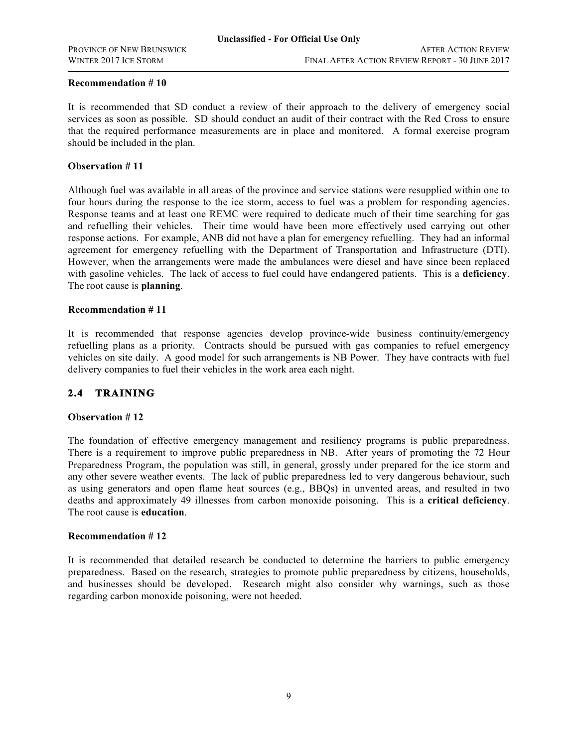#### **Recommendation # 10**

It is recommended that SD conduct a review of their approach to the delivery of emergency social services as soon as possible. SD should conduct an audit of their contract with the Red Cross to ensure that the required performance measurements are in place and monitored. A formal exercise program should be included in the plan.

### **Observation # 11**

Although fuel was available in all areas of the province and service stations were resupplied within one to four hours during the response to the ice storm, access to fuel was a problem for responding agencies. Response teams and at least one REMC were required to dedicate much of their time searching for gas and refuelling their vehicles. Their time would have been more effectively used carrying out other response actions. For example, ANB did not have a plan for emergency refuelling. They had an informal agreement for emergency refuelling with the Department of Transportation and Infrastructure (DTI). However, when the arrangements were made the ambulances were diesel and have since been replaced with gasoline vehicles. The lack of access to fuel could have endangered patients. This is a **deficiency**. The root cause is **planning**.

#### **Recommendation # 11**

It is recommended that response agencies develop province-wide business continuity/emergency refuelling plans as a priority. Contracts should be pursued with gas companies to refuel emergency vehicles on site daily. A good model for such arrangements is NB Power. They have contracts with fuel delivery companies to fuel their vehicles in the work area each night.

## **2.4 TRAINING**

#### **Observation # 12**

The foundation of effective emergency management and resiliency programs is public preparedness. There is a requirement to improve public preparedness in NB. After years of promoting the 72 Hour Preparedness Program, the population was still, in general, grossly under prepared for the ice storm and any other severe weather events. The lack of public preparedness led to very dangerous behaviour, such as using generators and open flame heat sources (e.g., BBQs) in unvented areas, and resulted in two deaths and approximately 49 illnesses from carbon monoxide poisoning. This is a **critical deficiency**. The root cause is **education**.

#### **Recommendation # 12**

It is recommended that detailed research be conducted to determine the barriers to public emergency preparedness. Based on the research, strategies to promote public preparedness by citizens, households, and businesses should be developed. Research might also consider why warnings, such as those regarding carbon monoxide poisoning, were not heeded.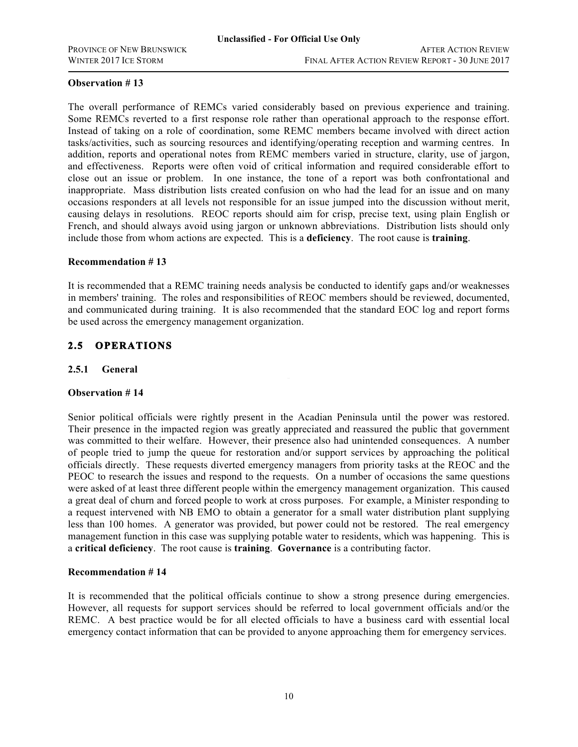The overall performance of REMCs varied considerably based on previous experience and training. Some REMCs reverted to a first response role rather than operational approach to the response effort. Instead of taking on a role of coordination, some REMC members became involved with direct action tasks/activities, such as sourcing resources and identifying/operating reception and warming centres. In addition, reports and operational notes from REMC members varied in structure, clarity, use of jargon, and effectiveness. Reports were often void of critical information and required considerable effort to close out an issue or problem. In one instance, the tone of a report was both confrontational and inappropriate. Mass distribution lists created confusion on who had the lead for an issue and on many occasions responders at all levels not responsible for an issue jumped into the discussion without merit, causing delays in resolutions. REOC reports should aim for crisp, precise text, using plain English or French, and should always avoid using jargon or unknown abbreviations. Distribution lists should only include those from whom actions are expected. This is a **deficiency**. The root cause is **training**.

### **Recommendation # 13**

It is recommended that a REMC training needs analysis be conducted to identify gaps and/or weaknesses in members' training. The roles and responsibilities of REOC members should be reviewed, documented, and communicated during training. It is also recommended that the standard EOC log and report forms be used across the emergency management organization.

## **2.5 OPERATIONS**

### **2.5.1 General**

#### **Observation # 14**

Senior political officials were rightly present in the Acadian Peninsula until the power was restored. Their presence in the impacted region was greatly appreciated and reassured the public that government was committed to their welfare. However, their presence also had unintended consequences. A number of people tried to jump the queue for restoration and/or support services by approaching the political officials directly. These requests diverted emergency managers from priority tasks at the REOC and the PEOC to research the issues and respond to the requests. On a number of occasions the same questions were asked of at least three different people within the emergency management organization. This caused a great deal of churn and forced people to work at cross purposes. For example, a Minister responding to a request intervened with NB EMO to obtain a generator for a small water distribution plant supplying less than 100 homes. A generator was provided, but power could not be restored. The real emergency management function in this case was supplying potable water to residents, which was happening. This is a **critical deficiency**. The root cause is **training**. **Governance** is a contributing factor.

#### **Recommendation # 14**

It is recommended that the political officials continue to show a strong presence during emergencies. However, all requests for support services should be referred to local government officials and/or the REMC. A best practice would be for all elected officials to have a business card with essential local emergency contact information that can be provided to anyone approaching them for emergency services.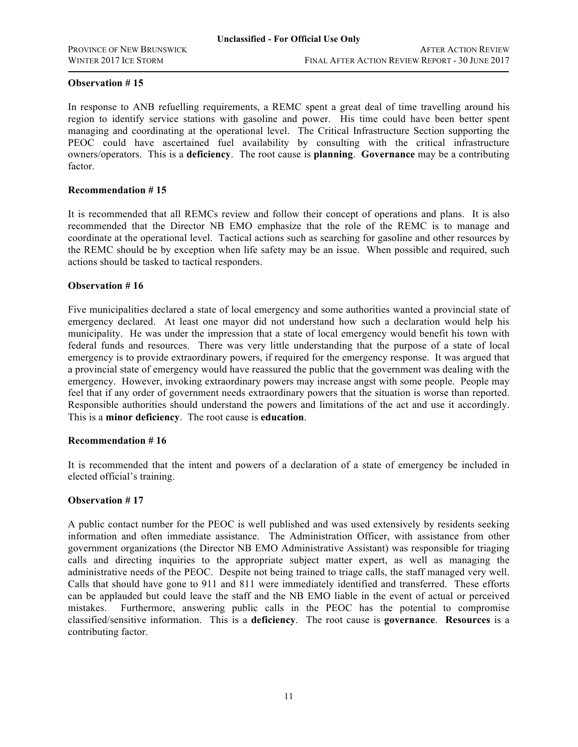In response to ANB refuelling requirements, a REMC spent a great deal of time travelling around his region to identify service stations with gasoline and power. His time could have been better spent managing and coordinating at the operational level. The Critical Infrastructure Section supporting the PEOC could have ascertained fuel availability by consulting with the critical infrastructure owners/operators. This is a **deficiency**. The root cause is **planning**. **Governance** may be a contributing factor.

#### **Recommendation # 15**

It is recommended that all REMCs review and follow their concept of operations and plans. It is also recommended that the Director NB EMO emphasize that the role of the REMC is to manage and coordinate at the operational level. Tactical actions such as searching for gasoline and other resources by the REMC should be by exception when life safety may be an issue. When possible and required, such actions should be tasked to tactical responders.

### **Observation # 16**

emergency. However, invoking extraordinary powers may increase angst with some people. People may Five municipalities declared a state of local emergency and some authorities wanted a provincial state of emergency declared. At least one mayor did not understand how such a declaration would help his municipality. He was under the impression that a state of local emergency would benefit his town with federal funds and resources. There was very little understanding that the purpose of a state of local emergency is to provide extraordinary powers, if required for the emergency response. It was argued that a provincial state of emergency would have reassured the public that the government was dealing with the feel that if any order of government needs extraordinary powers that the situation is worse than reported. Responsible authorities should understand the powers and limitations of the act and use it accordingly. This is a **minor deficiency**. The root cause is **education**.

### **Recommendation # 16**

It is recommended that the intent and powers of a declaration of a state of emergency be included in elected official's training.

### **Observation # 17**

A public contact number for the PEOC is well published and was used extensively by residents seeking information and often immediate assistance. The Administration Officer, with assistance from other government organizations (the Director NB EMO Administrative Assistant) was responsible for triaging calls and directing inquiries to the appropriate subject matter expert, as well as managing the administrative needs of the PEOC. Despite not being trained to triage calls, the staff managed very well. Calls that should have gone to 911 and 811 were immediately identified and transferred. These efforts can be applauded but could leave the staff and the NB EMO liable in the event of actual or perceived mistakes. Furthermore, answering public calls in the PEOC has the potential to compromise classified/sensitive information. This is a **deficiency**. The root cause is **governance**. **Resources** is a contributing factor.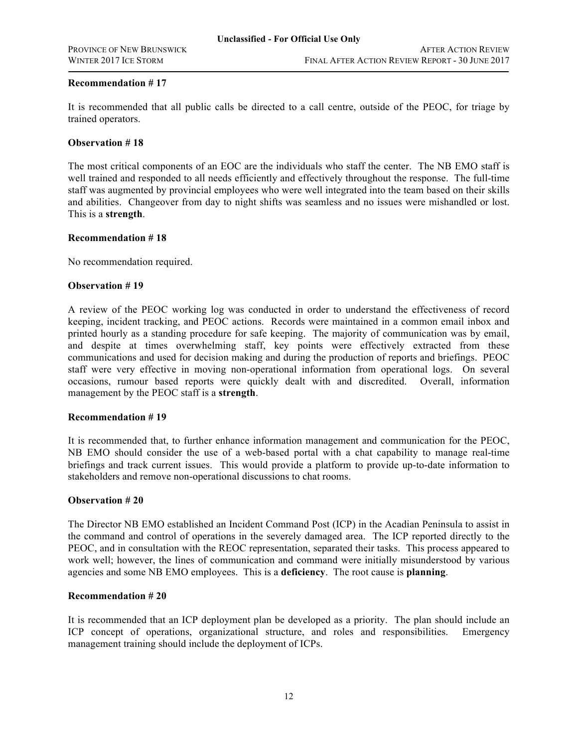### **Recommendation # 17**

It is recommended that all public calls be directed to a call centre, outside of the PEOC, for triage by trained operators.

### **Observation # 18**

The most critical components of an EOC are the individuals who staff the center. The NB EMO staff is well trained and responded to all needs efficiently and effectively throughout the response. The full-time staff was augmented by provincial employees who were well integrated into the team based on their skills and abilities. Changeover from day to night shifts was seamless and no issues were mishandled or lost. This is a **strength**.

#### **Recommendation # 18**

No recommendation required.

### **Observation # 19**

occasions, rumour based reports were quickly dealt with and discredited. Overall, information A review of the PEOC working log was conducted in order to understand the effectiveness of record keeping, incident tracking, and PEOC actions. Records were maintained in a common email inbox and printed hourly as a standing procedure for safe keeping. The majority of communication was by email, and despite at times overwhelming staff, key points were effectively extracted from these communications and used for decision making and during the production of reports and briefings. PEOC staff were very effective in moving non-operational information from operational logs. On several management by the PEOC staff is a **strength**.

### **Recommendation # 19**

It is recommended that, to further enhance information management and communication for the PEOC, NB EMO should consider the use of a web-based portal with a chat capability to manage real-time briefings and track current issues. This would provide a platform to provide up-to-date information to stakeholders and remove non-operational discussions to chat rooms.

#### **Observation # 20**

The Director NB EMO established an Incident Command Post (ICP) in the Acadian Peninsula to assist in the command and control of operations in the severely damaged area. The ICP reported directly to the PEOC, and in consultation with the REOC representation, separated their tasks. This process appeared to work well; however, the lines of communication and command were initially misunderstood by various agencies and some NB EMO employees. This is a **deficiency**. The root cause is **planning**.

#### **Recommendation # 20**

It is recommended that an ICP deployment plan be developed as a priority. The plan should include an ICP concept of operations, organizational structure, and roles and responsibilities. Emergency management training should include the deployment of ICPs.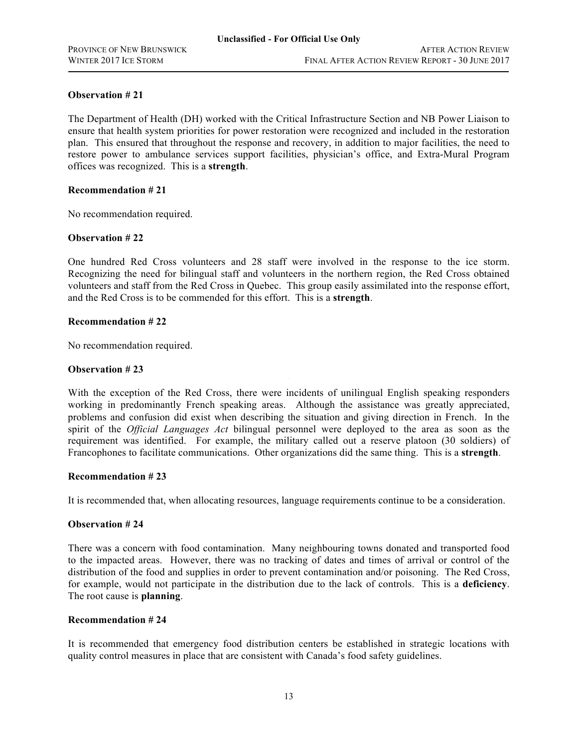The Department of Health (DH) worked with the Critical Infrastructure Section and NB Power Liaison to ensure that health system priorities for power restoration were recognized and included in the restoration plan. This ensured that throughout the response and recovery, in addition to major facilities, the need to restore power to ambulance services support facilities, physician's office, and Extra-Mural Program offices was recognized. This is a **strength**.

### **Recommendation # 21**

No recommendation required.

### **Observation # 22**

One hundred Red Cross volunteers and 28 staff were involved in the response to the ice storm. Recognizing the need for bilingual staff and volunteers in the northern region, the Red Cross obtained volunteers and staff from the Red Cross in Quebec. This group easily assimilated into the response effort, and the Red Cross is to be commended for this effort. This is a **strength**.

### **Recommendation # 22**

No recommendation required.

### **Observation # 23**

With the exception of the Red Cross, there were incidents of unilingual English speaking responders working in predominantly French speaking areas. Although the assistance was greatly appreciated, problems and confusion did exist when describing the situation and giving direction in French. In the spirit of the *Official Languages Act* bilingual personnel were deployed to the area as soon as the requirement was identified. For example, the military called out a reserve platoon (30 soldiers) of Francophones to facilitate communications. Other organizations did the same thing. This is a **strength**.

#### **Recommendation # 23**

It is recommended that, when allocating resources, language requirements continue to be a consideration.

### **Observation # 24**

There was a concern with food contamination. Many neighbouring towns donated and transported food to the impacted areas. However, there was no tracking of dates and times of arrival or control of the distribution of the food and supplies in order to prevent contamination and/or poisoning. The Red Cross, for example, would not participate in the distribution due to the lack of controls. This is a **deficiency**. The root cause is **planning**.

### **Recommendation # 24**

It is recommended that emergency food distribution centers be established in strategic locations with quality control measures in place that are consistent with Canada's food safety guidelines.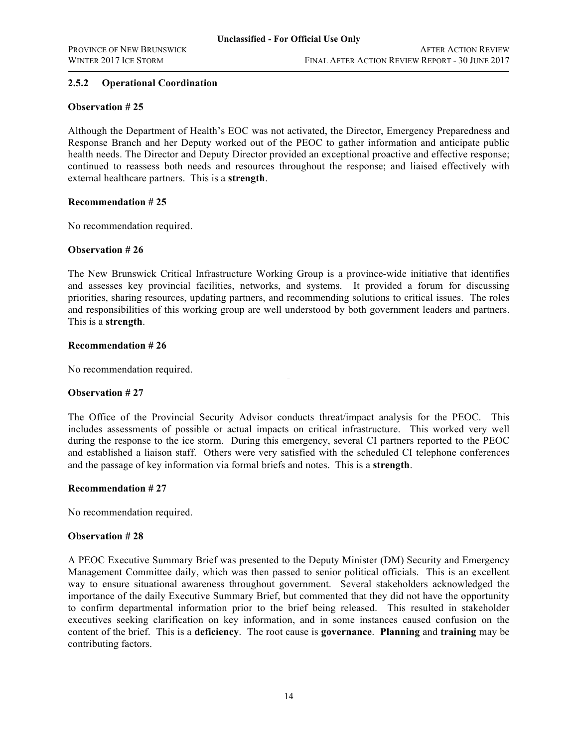### **2.5.2 Operational Coordination**

### **Observation # 25**

Although the Department of Health's EOC was not activated, the Director, Emergency Preparedness and Response Branch and her Deputy worked out of the PEOC to gather information and anticipate public health needs. The Director and Deputy Director provided an exceptional proactive and effective response; continued to reassess both needs and resources throughout the response; and liaised effectively with external healthcare partners. This is a **strength**.

### **Recommendation # 25**

No recommendation required.

### **Observation # 26**

The New Brunswick Critical Infrastructure Working Group is a province-wide initiative that identifies and assesses key provincial facilities, networks, and systems. It provided a forum for discussing priorities, sharing resources, updating partners, and recommending solutions to critical issues. The roles and responsibilities of this working group are well understood by both government leaders and partners. This is a **strength**.

### **Recommendation # 26**

No recommendation required.

### **Observation # 27**

The Office of the Provincial Security Advisor conducts threat/impact analysis for the PEOC. This includes assessments of possible or actual impacts on critical infrastructure. This worked very well during the response to the ice storm. During this emergency, several CI partners reported to the PEOC and established a liaison staff. Others were very satisfied with the scheduled CI telephone conferences and the passage of key information via formal briefs and notes. This is a **strength**.

### **Recommendation # 27**

No recommendation required.

### **Observation # 28**

A PEOC Executive Summary Brief was presented to the Deputy Minister (DM) Security and Emergency Management Committee daily, which was then passed to senior political officials. This is an excellent way to ensure situational awareness throughout government. Several stakeholders acknowledged the importance of the daily Executive Summary Brief, but commented that they did not have the opportunity to confirm departmental information prior to the brief being released. This resulted in stakeholder executives seeking clarification on key information, and in some instances caused confusion on the content of the brief. This is a **deficiency**. The root cause is **governance**. **Planning** and **training** may be contributing factors.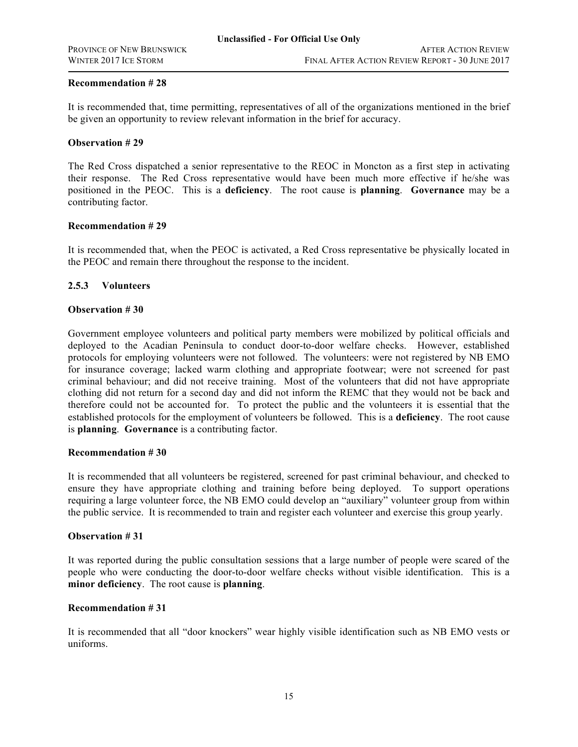### **Recommendation # 28**

It is recommended that, time permitting, representatives of all of the organizations mentioned in the brief be given an opportunity to review relevant information in the brief for accuracy.

#### **Observation # 29**

The Red Cross dispatched a senior representative to the REOC in Moncton as a first step in activating their response. The Red Cross representative would have been much more effective if he/she was positioned in the PEOC. This is a **deficiency**. The root cause is **planning**. **Governance** may be a contributing factor.

### **Recommendation # 29**

It is recommended that, when the PEOC is activated, a Red Cross representative be physically located in the PEOC and remain there throughout the response to the incident.

### **2.5.3 Volunteers**

#### **Observation # 30**

criminal behaviour; and did not receive training. Most of the volunteers that did not have appropriate Government employee volunteers and political party members were mobilized by political officials and deployed to the Acadian Peninsula to conduct door-to-door welfare checks. However, established protocols for employing volunteers were not followed. The volunteers: were not registered by NB EMO for insurance coverage; lacked warm clothing and appropriate footwear; were not screened for past clothing did not return for a second day and did not inform the REMC that they would not be back and therefore could not be accounted for. To protect the public and the volunteers it is essential that the established protocols for the employment of volunteers be followed. This is a **deficiency**. The root cause is **planning**. **Governance** is a contributing factor.

#### **Recommendation # 30**

It is recommended that all volunteers be registered, screened for past criminal behaviour, and checked to ensure they have appropriate clothing and training before being deployed. To support operations requiring a large volunteer force, the NB EMO could develop an "auxiliary" volunteer group from within the public service. It is recommended to train and register each volunteer and exercise this group yearly.

#### **Observation # 31**

It was reported during the public consultation sessions that a large number of people were scared of the people who were conducting the door-to-door welfare checks without visible identification. This is a **minor deficiency**. The root cause is **planning**.

#### **Recommendation # 31**

It is recommended that all "door knockers" wear highly visible identification such as NB EMO vests or uniforms.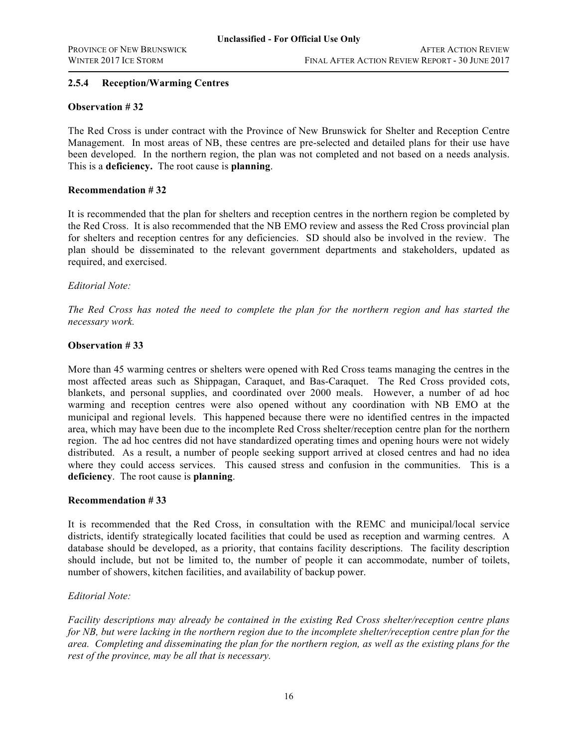### **2.5.4 Reception/Warming Centres**

### **Observation # 32**

The Red Cross is under contract with the Province of New Brunswick for Shelter and Reception Centre Management. In most areas of NB, these centres are pre-selected and detailed plans for their use have been developed. In the northern region, the plan was not completed and not based on a needs analysis. This is a **deficiency.** The root cause is **planning**.

### **Recommendation # 32**

It is recommended that the plan for shelters and reception centres in the northern region be completed by the Red Cross. It is also recommended that the NB EMO review and assess the Red Cross provincial plan for shelters and reception centres for any deficiencies. SD should also be involved in the review. The plan should be disseminated to the relevant government departments and stakeholders, updated as required, and exercised.

### *Editorial Note:*

*The Red Cross has noted the need to complete the plan for the northern region and has started the necessary work.*

### **Observation # 33**

most affected areas such as Shippagan, Caraquet, and Bas-Caraquet. The Red Cross provided cots, More than 45 warming centres or shelters were opened with Red Cross teams managing the centres in the blankets, and personal supplies, and coordinated over 2000 meals. However, a number of ad hoc warming and reception centres were also opened without any coordination with NB EMO at the municipal and regional levels. This happened because there were no identified centres in the impacted area, which may have been due to the incomplete Red Cross shelter/reception centre plan for the northern region. The ad hoc centres did not have standardized operating times and opening hours were not widely distributed. As a result, a number of people seeking support arrived at closed centres and had no idea where they could access services. This caused stress and confusion in the communities. This is a **deficiency**. The root cause is **planning**.

#### **Recommendation # 33**

It is recommended that the Red Cross, in consultation with the REMC and municipal/local service districts, identify strategically located facilities that could be used as reception and warming centres. A database should be developed, as a priority, that contains facility descriptions. The facility description should include, but not be limited to, the number of people it can accommodate, number of toilets, number of showers, kitchen facilities, and availability of backup power.

### *Editorial Note:*

*Facility descriptions may already be contained in the existing Red Cross shelter/reception centre plans for NB, but were lacking in the northern region due to the incomplete shelter/reception centre plan for the area. Completing and disseminating the plan for the northern region, as well as the existing plans for the rest of the province, may be all that is necessary.*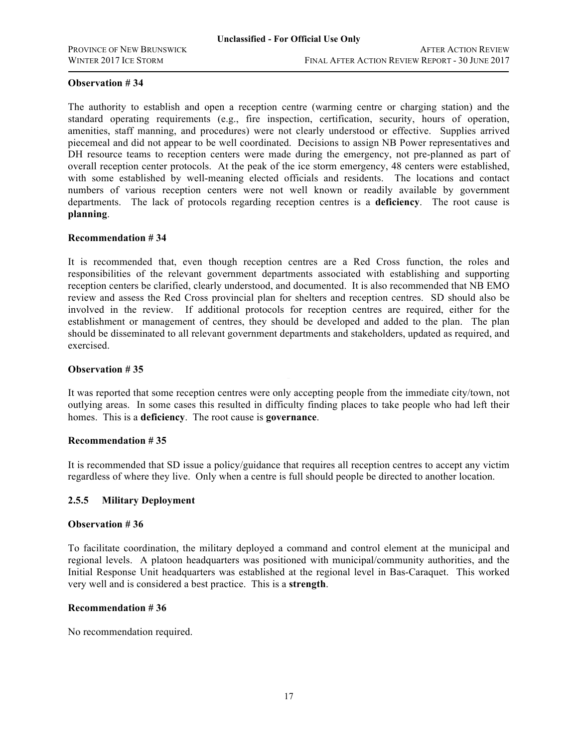The authority to establish and open a reception centre (warming centre or charging station) and the standard operating requirements (e.g., fire inspection, certification, security, hours of operation, amenities, staff manning, and procedures) were not clearly understood or effective. Supplies arrived piecemeal and did not appear to be well coordinated. Decisions to assign NB Power representatives and DH resource teams to reception centers were made during the emergency, not pre-planned as part of overall reception center protocols. At the peak of the ice storm emergency, 48 centers were established, with some established by well-meaning elected officials and residents. The locations and contact numbers of various reception centers were not well known or readily available by government departments. The lack of protocols regarding reception centres is a **deficiency**. The root cause is **planning**.

### **Recommendation # 34**

It is recommended that, even though reception centres are a Red Cross function, the roles and responsibilities of the relevant government departments associated with establishing and supporting reception centers be clarified, clearly understood, and documented. It is also recommended that NB EMO review and assess the Red Cross provincial plan for shelters and reception centres. SD should also be involved in the review. If additional protocols for reception centres are required, either for the establishment or management of centres, they should be developed and added to the plan. The plan should be disseminated to all relevant government departments and stakeholders, updated as required, and exercised.

### **Observation # 35**

It was reported that some reception centres were only accepting people from the immediate city/town, not outlying areas. In some cases this resulted in difficulty finding places to take people who had left their homes. This is a **deficiency**. The root cause is **governance**.

### **Recommendation # 35**

It is recommended that SD issue a policy/guidance that requires all reception centres to accept any victim regardless of where they live. Only when a centre is full should people be directed to another location.

### **2.5.5 Military Deployment**

#### **Observation # 36**

To facilitate coordination, the military deployed a command and control element at the municipal and regional levels. A platoon headquarters was positioned with municipal/community authorities, and the Initial Response Unit headquarters was established at the regional level in Bas-Caraquet. This worked very well and is considered a best practice. This is a **strength**.

#### **Recommendation # 36**

No recommendation required.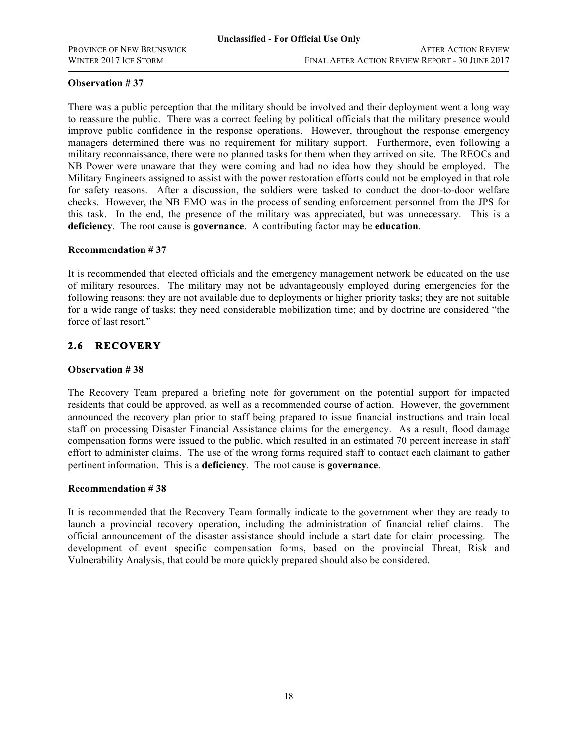There was a public perception that the military should be involved and their deployment went a long way to reassure the public. There was a correct feeling by political officials that the military presence would improve public confidence in the response operations. However, throughout the response emergency managers determined there was no requirement for military support. Furthermore, even following a military reconnaissance, there were no planned tasks for them when they arrived on site. The REOCs and NB Power were unaware that they were coming and had no idea how they should be employed. The Military Engineers assigned to assist with the power restoration efforts could not be employed in that role for safety reasons. After a discussion, the soldiers were tasked to conduct the door-to-door welfare checks. However, the NB EMO was in the process of sending enforcement personnel from the JPS for this task. In the end, the presence of the military was appreciated, but was unnecessary. This is a **deficiency**. The root cause is **governance**. A contributing factor may be **education**.

### **Recommendation # 37**

It is recommended that elected officials and the emergency management network be educated on the use of military resources. The military may not be advantageously employed during emergencies for the following reasons: they are not available due to deployments or higher priority tasks; they are not suitable for a wide range of tasks; they need considerable mobilization time; and by doctrine are considered "the force of last resort."

## **2.6 RECOVERY**

### **Observation # 38**

The Recovery Team prepared a briefing note for government on the potential support for impacted residents that could be approved, as well as a recommended course of action. However, the government announced the recovery plan prior to staff being prepared to issue financial instructions and train local staff on processing Disaster Financial Assistance claims for the emergency. As a result, flood damage compensation forms were issued to the public, which resulted in an estimated 70 percent increase in staff effort to administer claims. The use of the wrong forms required staff to contact each claimant to gather pertinent information. This is a **deficiency**. The root cause is **governance**.

#### **Recommendation # 38**

It is recommended that the Recovery Team formally indicate to the government when they are ready to launch a provincial recovery operation, including the administration of financial relief claims. The official announcement of the disaster assistance should include a start date for claim processing. The development of event specific compensation forms, based on the provincial Threat, Risk and Vulnerability Analysis, that could be more quickly prepared should also be considered.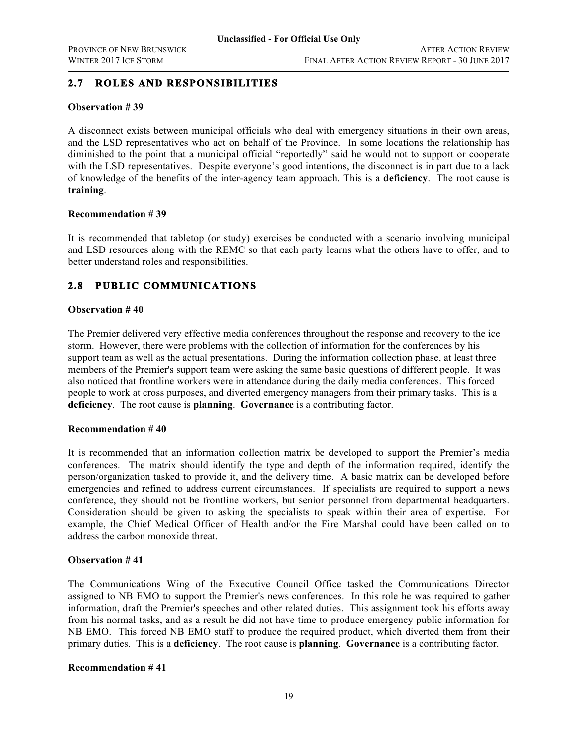## **2.7 ROLES AND RESPONSIBILITIES**

### **Observation # 39**

A disconnect exists between municipal officials who deal with emergency situations in their own areas, and the LSD representatives who act on behalf of the Province. In some locations the relationship has diminished to the point that a municipal official "reportedly" said he would not to support or cooperate with the LSD representatives. Despite everyone's good intentions, the disconnect is in part due to a lack of knowledge of the benefits of the inter-agency team approach. This is a **deficiency**. The root cause is **training**.

### **Recommendation # 39**

It is recommended that tabletop (or study) exercises be conducted with a scenario involving municipal and LSD resources along with the REMC so that each party learns what the others have to offer, and to better understand roles and responsibilities.

## **2.8 PUBLIC COMMUNICATIONS**

### **Observation # 40**

also noticed that frontline workers were in attendance during the daily media conferences. This forced The Premier delivered very effective media conferences throughout the response and recovery to the ice storm. However, there were problems with the collection of information for the conferences by his support team as well as the actual presentations. During the information collection phase, at least three members of the Premier's support team were asking the same basic questions of different people. It was people to work at cross purposes, and diverted emergency managers from their primary tasks. This is a **deficiency**. The root cause is **planning**. **Governance** is a contributing factor.

#### **Recommendation # 40**

It is recommended that an information collection matrix be developed to support the Premier's media conferences. The matrix should identify the type and depth of the information required, identify the person/organization tasked to provide it, and the delivery time. A basic matrix can be developed before emergencies and refined to address current circumstances. If specialists are required to support a news conference, they should not be frontline workers, but senior personnel from departmental headquarters. Consideration should be given to asking the specialists to speak within their area of expertise. For example, the Chief Medical Officer of Health and/or the Fire Marshal could have been called on to address the carbon monoxide threat.

### **Observation # 41**

The Communications Wing of the Executive Council Office tasked the Communications Director assigned to NB EMO to support the Premier's news conferences. In this role he was required to gather information, draft the Premier's speeches and other related duties. This assignment took his efforts away from his normal tasks, and as a result he did not have time to produce emergency public information for NB EMO. This forced NB EMO staff to produce the required product, which diverted them from their primary duties. This is a **deficiency**. The root cause is **planning**. **Governance** is a contributing factor.

### **Recommendation # 41**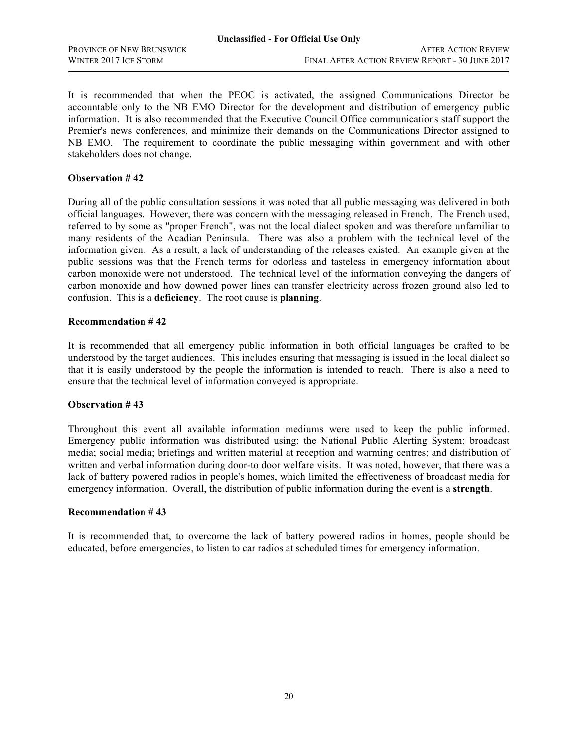It is recommended that when the PEOC is activated, the assigned Communications Director be accountable only to the NB EMO Director for the development and distribution of emergency public information. It is also recommended that the Executive Council Office communications staff support the Premier's news conferences, and minimize their demands on the Communications Director assigned to NB EMO. The requirement to coordinate the public messaging within government and with other stakeholders does not change.

### **Observation # 42**

During all of the public consultation sessions it was noted that all public messaging was delivered in both official languages. However, there was concern with the messaging released in French. The French used, referred to by some as "proper French", was not the local dialect spoken and was therefore unfamiliar to many residents of the Acadian Peninsula. There was also a problem with the technical level of the information given. As a result, a lack of understanding of the releases existed. An example given at the public sessions was that the French terms for odorless and tasteless in emergency information about carbon monoxide were not understood. The technical level of the information conveying the dangers of carbon monoxide and how downed power lines can transfer electricity across frozen ground also led to confusion. This is a **deficiency**. The root cause is **planning**.

### **Recommendation # 42**

ensure that the technical level of information conveyed is appropriate. It is recommended that all emergency public information in both official languages be crafted to be understood by the target audiences. This includes ensuring that messaging is issued in the local dialect so that it is easily understood by the people the information is intended to reach. There is also a need to

#### **Observation # 43**

Throughout this event all available information mediums were used to keep the public informed. Emergency public information was distributed using: the National Public Alerting System; broadcast media; social media; briefings and written material at reception and warming centres; and distribution of written and verbal information during door-to door welfare visits. It was noted, however, that there was a lack of battery powered radios in people's homes, which limited the effectiveness of broadcast media for emergency information. Overall, the distribution of public information during the event is a **strength**.

#### **Recommendation # 43**

It is recommended that, to overcome the lack of battery powered radios in homes, people should be educated, before emergencies, to listen to car radios at scheduled times for emergency information.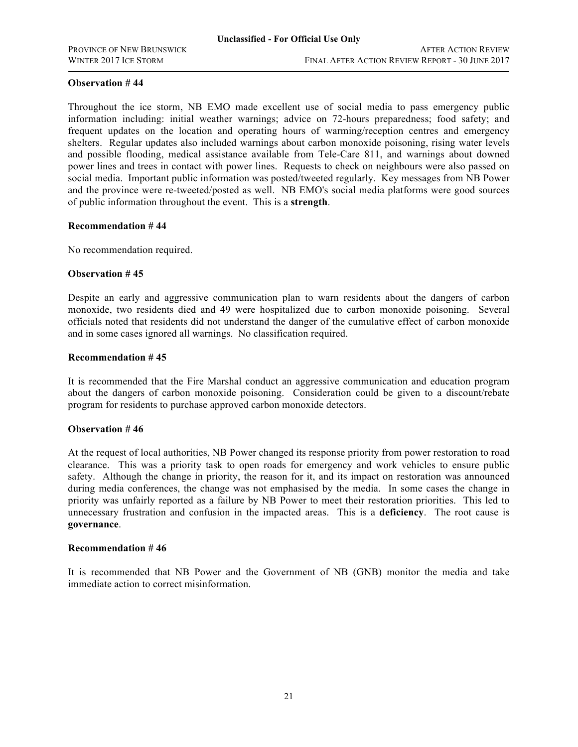Throughout the ice storm, NB EMO made excellent use of social media to pass emergency public information including: initial weather warnings; advice on 72-hours preparedness; food safety; and frequent updates on the location and operating hours of warming/reception centres and emergency shelters. Regular updates also included warnings about carbon monoxide poisoning, rising water levels and possible flooding, medical assistance available from Tele-Care 811, and warnings about downed power lines and trees in contact with power lines. Requests to check on neighbours were also passed on social media. Important public information was posted/tweeted regularly. Key messages from NB Power and the province were re-tweeted/posted as well. NB EMO's social media platforms were good sources of public information throughout the event. This is a **strength**.

### **Recommendation # 44**

No recommendation required.

### **Observation # 45**

Despite an early and aggressive communication plan to warn residents about the dangers of carbon monoxide, two residents died and 49 were hospitalized due to carbon monoxide poisoning. Several officials noted that residents did not understand the danger of the cumulative effect of carbon monoxide and in some cases ignored all warnings. No classification required.

### **Recommendation # 45**

It is recommended that the Fire Marshal conduct an aggressive communication and education program about the dangers of carbon monoxide poisoning. Consideration could be given to a discount/rebate program for residents to purchase approved carbon monoxide detectors.

### **Observation # 46**

At the request of local authorities, NB Power changed its response priority from power restoration to road clearance. This was a priority task to open roads for emergency and work vehicles to ensure public safety. Although the change in priority, the reason for it, and its impact on restoration was announced during media conferences, the change was not emphasised by the media. In some cases the change in priority was unfairly reported as a failure by NB Power to meet their restoration priorities. This led to unnecessary frustration and confusion in the impacted areas. This is a **deficiency**. The root cause is **governance**.

#### **Recommendation # 46**

It is recommended that NB Power and the Government of NB (GNB) monitor the media and take immediate action to correct misinformation.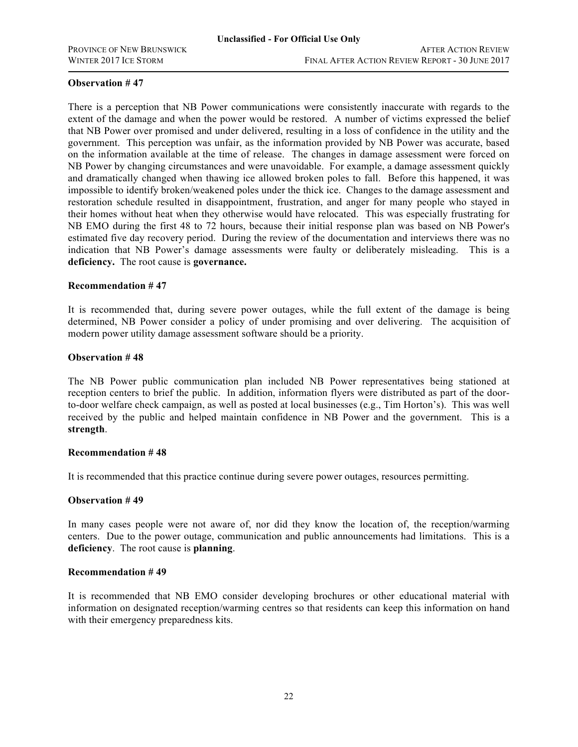There is a perception that NB Power communications were consistently inaccurate with regards to the extent of the damage and when the power would be restored. A number of victims expressed the belief that NB Power over promised and under delivered, resulting in a loss of confidence in the utility and the government. This perception was unfair, as the information provided by NB Power was accurate, based on the information available at the time of release. The changes in damage assessment were forced on NB Power by changing circumstances and were unavoidable. For example, a damage assessment quickly and dramatically changed when thawing ice allowed broken poles to fall. Before this happened, it was impossible to identify broken/weakened poles under the thick ice. Changes to the damage assessment and restoration schedule resulted in disappointment, frustration, and anger for many people who stayed in their homes without heat when they otherwise would have relocated. This was especially frustrating for NB EMO during the first 48 to 72 hours, because their initial response plan was based on NB Power's estimated five day recovery period. During the review of the documentation and interviews there was no indication that NB Power's damage assessments were faulty or deliberately misleading. This is a **deficiency.** The root cause is **governance.**

#### **Recommendation # 47**

It is recommended that, during severe power outages, while the full extent of the damage is being determined, NB Power consider a policy of under promising and over delivering. The acquisition of modern power utility damage assessment software should be a priority.

### **Observation # 48**

The NB Power public communication plan included NB Power representatives being stationed at reception centers to brief the public. In addition, information flyers were distributed as part of the doorto-door welfare check campaign, as well as posted at local businesses (e.g., Tim Horton's). This was well received by the public and helped maintain confidence in NB Power and the government. This is a **strength**.

#### **Recommendation # 48**

It is recommended that this practice continue during severe power outages, resources permitting.

#### **Observation # 49**

In many cases people were not aware of, nor did they know the location of, the reception/warming centers. Due to the power outage, communication and public announcements had limitations. This is a **deficiency**. The root cause is **planning**.

#### **Recommendation # 49**

It is recommended that NB EMO consider developing brochures or other educational material with information on designated reception/warming centres so that residents can keep this information on hand with their emergency preparedness kits.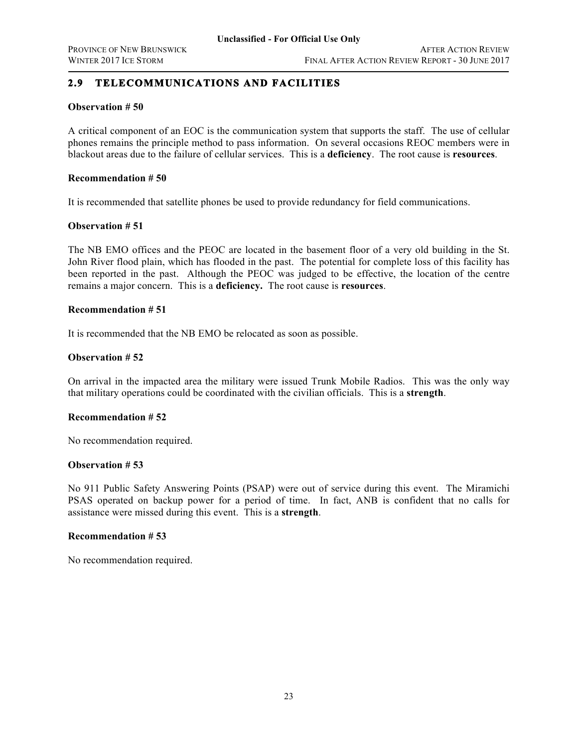## **2.9 TELECOMMUNICATIONS AND FACILITIES**

### **Observation # 50**

A critical component of an EOC is the communication system that supports the staff. The use of cellular phones remains the principle method to pass information. On several occasions REOC members were in blackout areas due to the failure of cellular services. This is a **deficiency**. The root cause is **resources**.

### **Recommendation # 50**

It is recommended that satellite phones be used to provide redundancy for field communications.

### **Observation # 51**

The NB EMO offices and the PEOC are located in the basement floor of a very old building in the St. John River flood plain, which has flooded in the past. The potential for complete loss of this facility has been reported in the past. Although the PEOC was judged to be effective, the location of the centre remains a major concern. This is a **deficiency.** The root cause is **resources**.

### **Recommendation # 51**

It is recommended that the NB EMO be relocated as soon as possible.

### **Observation # 52**

On arrival in the impacted area the military were issued Trunk Mobile Radios. This was the only way that military operations could be coordinated with the civilian officials. This is a **strength**.

### **Recommendation # 52**

No recommendation required.

### **Observation # 53**

No 911 Public Safety Answering Points (PSAP) were out of service during this event. The Miramichi PSAS operated on backup power for a period of time. In fact, ANB is confident that no calls for assistance were missed during this event. This is a **strength**.

### **Recommendation # 53**

No recommendation required.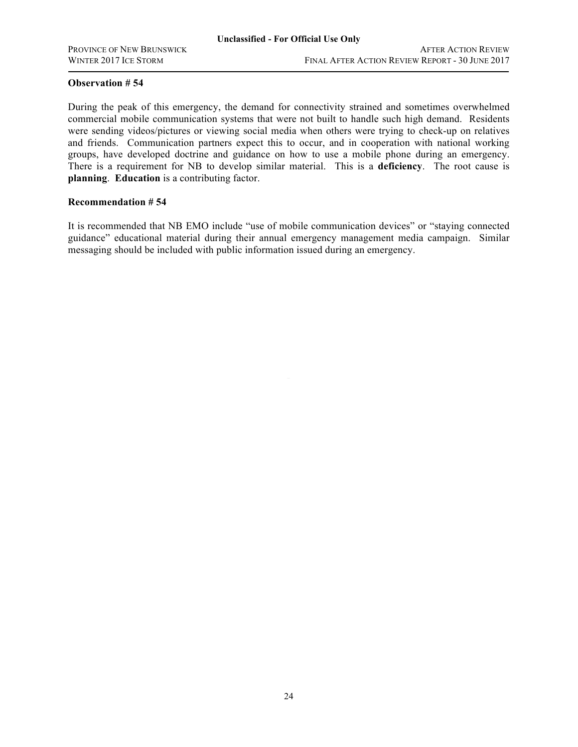During the peak of this emergency, the demand for connectivity strained and sometimes overwhelmed commercial mobile communication systems that were not built to handle such high demand. Residents were sending videos/pictures or viewing social media when others were trying to check-up on relatives and friends. Communication partners expect this to occur, and in cooperation with national working groups, have developed doctrine and guidance on how to use a mobile phone during an emergency. There is a requirement for NB to develop similar material. This is a **deficiency**. The root cause is **planning**. **Education** is a contributing factor.

### **Recommendation # 54**

It is recommended that NB EMO include "use of mobile communication devices" or "staying connected guidance" educational material during their annual emergency management media campaign. Similar messaging should be included with public information issued during an emergency.